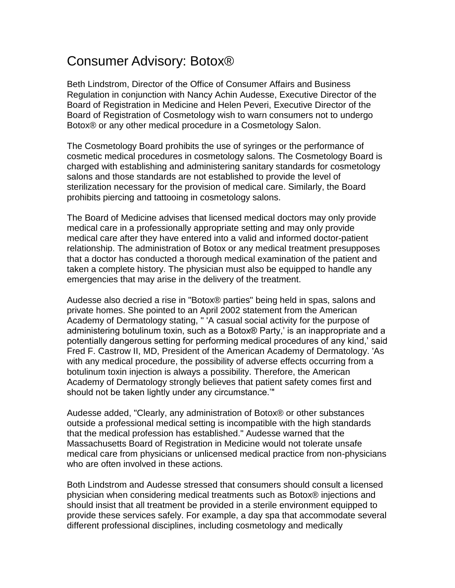## Consumer Advisory: Botox®

Beth Lindstrom, Director of the Office of Consumer Affairs and Business Regulation in conjunction with Nancy Achin Audesse, Executive Director of the Board of Registration in Medicine and Helen Peveri, Executive Director of the Board of Registration of Cosmetology wish to warn consumers not to undergo Botox® or any other medical procedure in a Cosmetology Salon.

The Cosmetology Board prohibits the use of syringes or the performance of cosmetic medical procedures in cosmetology salons. The Cosmetology Board is charged with establishing and administering sanitary standards for cosmetology salons and those standards are not established to provide the level of sterilization necessary for the provision of medical care. Similarly, the Board prohibits piercing and tattooing in cosmetology salons.

The Board of Medicine advises that licensed medical doctors may only provide medical care in a professionally appropriate setting and may only provide medical care after they have entered into a valid and informed doctor-patient relationship. The administration of Botox or any medical treatment presupposes that a doctor has conducted a thorough medical examination of the patient and taken a complete history. The physician must also be equipped to handle any emergencies that may arise in the delivery of the treatment.

Audesse also decried a rise in "Botox® parties" being held in spas, salons and private homes. She pointed to an April 2002 statement from the American Academy of Dermatology stating, " 'A casual social activity for the purpose of administering botulinum toxin, such as a Botox® Party,' is an inappropriate and a potentially dangerous setting for performing medical procedures of any kind,' said Fred F. Castrow II, MD, President of the American Academy of Dermatology. 'As with any medical procedure, the possibility of adverse effects occurring from a botulinum toxin injection is always a possibility. Therefore, the American Academy of Dermatology strongly believes that patient safety comes first and should not be taken lightly under any circumstance.'"

Audesse added, "Clearly, any administration of Botox® or other substances outside a professional medical setting is incompatible with the high standards that the medical profession has established." Audesse warned that the Massachusetts Board of Registration in Medicine would not tolerate unsafe medical care from physicians or unlicensed medical practice from non-physicians who are often involved in these actions.

Both Lindstrom and Audesse stressed that consumers should consult a licensed physician when considering medical treatments such as Botox® injections and should insist that all treatment be provided in a sterile environment equipped to provide these services safely. For example, a day spa that accommodate several different professional disciplines, including cosmetology and medically